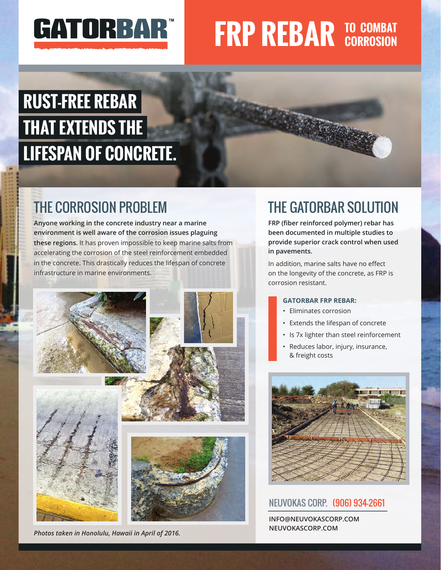

# **FRP REBAR TO COMBAT**

## **RUST-FREE REBAR THAT EXTENDS THE LIFESPAN OF CONCRETE.**

### THE CORROSION PROBLEM

**Anyone working in the concrete industry near a marine environment is well aware of the corrosion issues plaguing these regions.** It has proven impossible to keep marine salts from accelerating the corrosion of the steel reinforcement embedded in the concrete. This drastically reduces the lifespan of concrete infrastructure in marine environments.



*Photos taken in Honolulu, Hawaii in April of 2016.*

## THE GATORBAR SOLUTION

**FRP (fiber reinforced polymer) rebar has been documented in multiple studies to provide superior crack control when used in pavements.**

In addition, marine salts have no effect on the longevity of the concrete, as FRP is corrosion resistant.

#### **GATORBAR FRP REBAR:**

- Eliminates corrosion
- Extends the lifespan of concrete
- Is 7x lighter than steel reinforcement
- Reduces labor, injury, insurance, & freight costs



### NEUVOKAS CORP. (906) 934-2661

**INFO@NEUVOKASCORP.COM NEUVOKASCORP.COM**